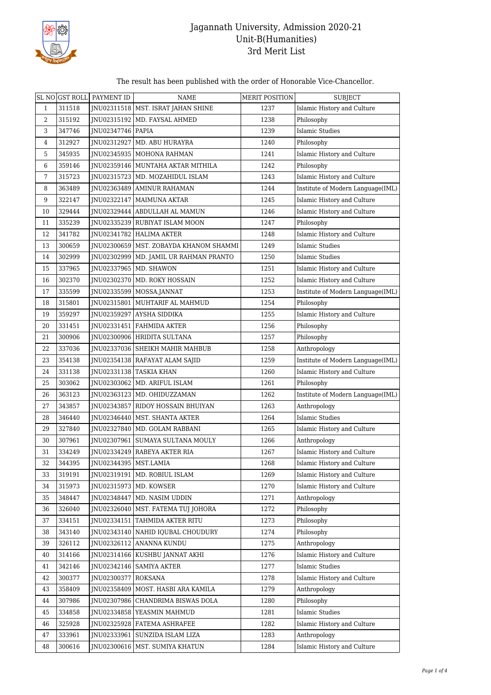

The result has been published with the order of Honorable Vice-Chancellor.

|                  |        | SL NO GST ROLL PAYMENT ID | <b>NAME</b>                              | MERIT POSITION | <b>SUBJECT</b>                    |
|------------------|--------|---------------------------|------------------------------------------|----------------|-----------------------------------|
| $\mathbf{1}$     | 311518 |                           | JNU02311518   MST. ISRAT JAHAN SHINE     | 1237           | Islamic History and Culture       |
| 2                | 315192 |                           | JNU02315192   MD. FAYSAL AHMED           | 1238           | Philosophy                        |
| 3                | 347746 | JNU02347746   PAPIA       |                                          | 1239           | Islamic Studies                   |
| 4                | 312927 | JNU02312927               | MD. ABU HURAYRA                          | 1240           | Philosophy                        |
| 5                | 345935 |                           | JNU02345935   MOHONA RAHMAN              | 1241           | Islamic History and Culture       |
| 6                | 359146 |                           | INU02359146   MUNTAHA AKTAR MITHILA      | 1242           | Philosophy                        |
| 7                | 315723 |                           | JNU02315723   MD. MOZAHIDUL ISLAM        | 1243           | Islamic History and Culture       |
| 8                | 363489 |                           | JNU02363489   AMINUR RAHAMAN             | 1244           | Institute of Modern Language(IML) |
| $\boldsymbol{9}$ | 322147 |                           | JNU02322147   MAIMUNA AKTAR              | 1245           | Islamic History and Culture       |
| 10               | 329444 |                           | JNU02329444   ABDULLAH AL MAMUN          | 1246           | Islamic History and Culture       |
| 11               | 335239 |                           | JNU02335239 RUBIYAT ISLAM MOON           | 1247           | Philosophy                        |
| 12               | 341782 |                           | JNU02341782   HALIMA AKTER               | 1248           | Islamic History and Culture       |
| 13               | 300659 |                           | JNU02300659   MST. ZOBAYDA KHANOM SHAMMI | 1249           | Islamic Studies                   |
| 14               | 302999 |                           | JNU02302999   MD. JAMIL UR RAHMAN PRANTO | 1250           | Islamic Studies                   |
| 15               | 337965 |                           | JNU02337965   MD. SHAWON                 | 1251           | Islamic History and Culture       |
| 16               | 302370 |                           | JNU02302370   MD. ROKY HOSSAIN           | 1252           | Islamic History and Culture       |
| 17               | 335599 | JNU02335599               | MOSSA.JANNAT                             | 1253           | Institute of Modern Language(IML) |
| 18               | 315801 |                           | JNU02315801   MUHTARIF AL MAHMUD         | 1254           | Philosophy                        |
| 19               | 359297 |                           | JNU02359297 AYSHA SIDDIKA                | 1255           | Islamic History and Culture       |
| 20               | 331451 | JNU02331451               | FAHMIDA AKTER                            | 1256           | Philosophy                        |
| 21               | 300906 |                           | JNU02300906 HRIDITA SULTANA              | 1257           | Philosophy                        |
| 22               | 337036 |                           | JNU02337036   SHEIKH MAHIR MAHBUB        | 1258           | Anthropology                      |
| 23               | 354138 | JNU02354138               | RAFAYAT ALAM SAJID                       | 1259           | Institute of Modern Language(IML) |
| 24               | 331138 | JNU02331138               | <b>TASKIA KHAN</b>                       | 1260           | Islamic History and Culture       |
| 25               | 303062 |                           | JNU02303062   MD. ARIFUL ISLAM           | 1261           | Philosophy                        |
| 26               | 363123 | JNU02363123               | MD. OHIDUZZAMAN                          | 1262           | Institute of Modern Language(IML) |
| 27               | 343857 |                           | JNU02343857 RIDOY HOSSAIN BHUIYAN        | 1263           | Anthropology                      |
| 28               | 346440 |                           | JNU02346440   MST. SHANTA AKTER          | 1264           | <b>Islamic Studies</b>            |
| 29               | 327840 | JNU02327840               | MD. GOLAM RABBANI                        | 1265           | Islamic History and Culture       |
| 30               | 307961 | JNU02307961               | SUMAYA SULTANA MOULY                     | 1266           | Anthropology                      |
| 31               | 334249 |                           | INU02334249 RABEYA AKTER RIA             | 1267           | Islamic History and Culture       |
| 32               | 344395 | JNU02344395   MST.LAMIA   |                                          | 1268           | Islamic History and Culture       |
| 33               | 319191 | JNU02319191               | MD. ROBIUL ISLAM                         | 1269           | Islamic History and Culture       |
| 34               | 315973 | JNU02315973               | MD. KOWSER                               | 1270           | Islamic History and Culture       |
| 35               | 348447 | JNU02348447               | MD. NASIM UDDIN                          | 1271           | Anthropology                      |
| 36               | 326040 | JNU02326040               | MST. FATEMA TUJ JOHORA                   | 1272           | Philosophy                        |
| 37               | 334151 |                           | JNU02334151 TAHMIDA AKTER RITU           | 1273           | Philosophy                        |
| 38               | 343140 |                           | JNU02343140   NAHID IQUBAL CHOUDURY      | 1274           | Philosophy                        |
| 39               | 326112 | JNU02326112               | ANANNA KUNDU                             | 1275           | Anthropology                      |
| 40               | 314166 |                           | JNU02314166   KUSHBU JANNAT AKHI         | 1276           | Islamic History and Culture       |
| 41               | 342146 |                           | INU02342146 SAMIYA AKTER                 | 1277           | <b>Islamic Studies</b>            |
| 42               | 300377 | JNU02300377               | ROKSANA                                  | 1278           | Islamic History and Culture       |
| 43               | 358409 | JNU02358409               | MOST. HASBI ARA KAMILA                   | 1279           | Anthropology                      |
| 44               | 307986 |                           | JNU02307986   CHANDRIMA BISWAS DOLA      | 1280           | Philosophy                        |
| 45               | 334858 | JNU02334858               | YEASMIN MAHMUD                           | 1281           | <b>Islamic Studies</b>            |
| 46               | 325928 |                           | JNU02325928   FATEMA ASHRAFEE            | 1282           | Islamic History and Culture       |
| 47               | 333961 |                           | JNU02333961   SUNZIDA ISLAM LIZA         | 1283           | Anthropology                      |
| 48               | 300616 |                           | JNU02300616   MST. SUMIYA KHATUN         | 1284           | Islamic History and Culture       |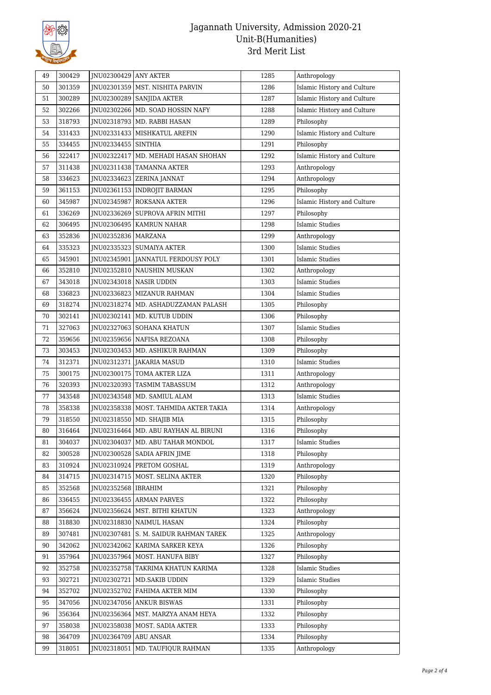

| JNU02301359   MST. NISHITA PARVIN<br>1286<br>Islamic History and Culture<br>50<br>301359<br>Islamic History and Culture<br>51<br>300289<br>INU02300289 SANJIDA AKTER<br>1287<br>52<br>302266<br>JNU02302266   MD. SOAD HOSSIN NAFY<br>1288<br>Islamic History and Culture<br>318793<br>JNU02318793<br>1289<br>53<br>MD. RABBI HASAN<br>Philosophy<br>1290<br>54<br>331433<br>JNU02331433   MISHKATUL AREFIN<br>Islamic History and Culture<br>55<br>334455<br>JNU02334455 SINTHIA<br>1291<br>Philosophy<br>Islamic History and Culture<br>322417<br>JNU02322417   MD. MEHADI HASAN SHOHAN<br>1292<br>56<br>Anthropology<br>57<br>311438<br>JNU02311438 TAMANNA AKTER<br>1293<br>58<br>334623<br>JNU02334623 ZERINA JANNAT<br>1294<br>Anthropology<br>59<br>361153<br>JNU02361153   INDROJIT BARMAN<br>1295<br>Philosophy<br>1296<br>Islamic History and Culture<br>60<br>345987<br>JNU02345987 ROKSANA AKTER<br>336269<br>1297<br>Philosophy<br>61<br>JNU02336269   SUPROVA AFRIN MITHI<br>62<br><b>Islamic Studies</b><br>306495<br>JNU02306495   KAMRUN NAHAR<br>1298<br>1299<br>63<br>352836<br>JNU02352836   MARZANA<br>Anthropology<br>64<br>335323<br>JNU02335323   SUMAIYA AKTER<br>1300<br>Islamic Studies<br>65<br>345901<br>1301<br>Islamic Studies<br>JNU02345901<br><b>JANNATUL FERDOUSY POLY</b><br>1302<br>66<br>352810<br>JNU02352810 NAUSHIN MUSKAN<br>Anthropology<br>1303<br><b>Islamic Studies</b><br>67<br>343018<br>INU02343018 NASIR UDDIN<br>336823<br>1304<br>Islamic Studies<br>68<br>INU02336823   MIZANUR RAHMAN<br>69<br>318274<br>INU02318274   MD. ASHADUZZAMAN PALASH<br>1305<br>Philosophy<br>70<br>302141<br>JNU02302141   MD. KUTUB UDDIN<br>1306<br>Philosophy<br>71<br>327063<br>1307<br>Islamic Studies<br>JNU02327063   SOHANA KHATUN<br>72<br>359656<br>JNU02359656   NAFISA REZOANA<br>1308<br>Philosophy<br>1309<br>73<br>303453<br>JNU02303453   MD. ASHIKUR RAHMAN<br>Philosophy<br>74<br>312371<br>JNU02312371 JAKARIA MASUD<br>1310<br>Islamic Studies<br>75<br>300175<br>JNU02300175   TOMA AKTER LIZA<br>1311<br>Anthropology<br>1312<br>76<br>320393<br>JNU02320393   TASMIM TABASSUM<br>Anthropology<br>77<br>343548<br>1313<br>Islamic Studies<br>JNU02343548   MD. SAMIUL ALAM<br>78<br>358338<br>INU02358338   MOST. TAHMIDA AKTER TAKIA<br>1314<br>Anthropology<br>79<br>1315<br>Philosophy<br>318550<br>JNU02318550   MD. SHAJIB MIA<br>80<br>316464<br>JNU02316464   MD. ABU RAYHAN AL BIRUNI<br>1316<br>Philosophy<br>81<br>304037<br>JNU02304037<br>  MD. ABU TAHAR MONDOL<br>1317<br>Islamic Studies<br>JNU02300528   SADIA AFRIN JIME<br>82<br>300528<br>1318<br>Philosophy<br>310924<br>JNU02310924 PRETOM GOSHAL<br>1319<br>Anthropology<br>83<br>314715<br>JNU02314715   MOST. SELINA AKTER<br>1320<br>Philosophy<br>84<br>352568<br>JNU02352568   IBRAHIM<br>1321<br>Philosophy<br>85<br>1322<br>Philosophy<br>86<br>336455<br>INU02336455 ARMAN PARVES<br>87<br>356624<br>MST. BITHI KHATUN<br>1323<br>Anthropology<br>JNU02356624<br>318830<br>JNU02318830<br>NAIMUL HASAN<br>1324<br>Philosophy<br>88<br>1325<br>Anthropology<br>89<br>307481<br>JNU02307481<br>S. M. SAIDUR RAHMAN TAREK<br>342062<br>90<br>JNU02342062   KARIMA SARKER KEYA<br>1326<br>Philosophy<br>357964<br>Philosophy<br>JNU02357964   MOST. HANUFA BIBY<br>1327<br>91<br><b>Islamic Studies</b><br>92<br>352758<br>JNU02352758 TAKRIMA KHATUN KARIMA<br>1328<br>93<br>302721<br>1329<br><b>Islamic Studies</b><br>JNU02302721   MD.SAKIB UDDIN<br>352702<br>94<br>JNU02352702<br>FAHIMA AKTER MIM<br>1330<br>Philosophy<br>Philosophy<br>95<br>347056<br>JNU02347056 ANKUR BISWAS<br>1331<br>96<br>356364<br>JNU02356364   MST. MARZYA ANAM HEYA<br>1332<br>Philosophy<br>97<br>358038<br>JNU02358038<br>MOST. SADIA AKTER<br>1333<br>Philosophy<br>364709<br>1334<br>Philosophy<br>98<br>JNU02364709   ABU ANSAR<br>99<br>318051<br>JNU02318051<br>MD. TAUFIQUR RAHMAN<br>1335<br>Anthropology | 49 | 300429 | JNU02300429 ANY AKTER | 1285 | Anthropology |
|------------------------------------------------------------------------------------------------------------------------------------------------------------------------------------------------------------------------------------------------------------------------------------------------------------------------------------------------------------------------------------------------------------------------------------------------------------------------------------------------------------------------------------------------------------------------------------------------------------------------------------------------------------------------------------------------------------------------------------------------------------------------------------------------------------------------------------------------------------------------------------------------------------------------------------------------------------------------------------------------------------------------------------------------------------------------------------------------------------------------------------------------------------------------------------------------------------------------------------------------------------------------------------------------------------------------------------------------------------------------------------------------------------------------------------------------------------------------------------------------------------------------------------------------------------------------------------------------------------------------------------------------------------------------------------------------------------------------------------------------------------------------------------------------------------------------------------------------------------------------------------------------------------------------------------------------------------------------------------------------------------------------------------------------------------------------------------------------------------------------------------------------------------------------------------------------------------------------------------------------------------------------------------------------------------------------------------------------------------------------------------------------------------------------------------------------------------------------------------------------------------------------------------------------------------------------------------------------------------------------------------------------------------------------------------------------------------------------------------------------------------------------------------------------------------------------------------------------------------------------------------------------------------------------------------------------------------------------------------------------------------------------------------------------------------------------------------------------------------------------------------------------------------------------------------------------------------------------------------------------------------------------------------------------------------------------------------------------------------------------------------------------------------------------------------------------------------------------------------------------------------------------------------------------------------------------------------------------------------------------------------------------------------------------------------------------------------------------------------------------------------------------------------------------------------------------------------------------------------------------------------------------------------------------------------------|----|--------|-----------------------|------|--------------|
|                                                                                                                                                                                                                                                                                                                                                                                                                                                                                                                                                                                                                                                                                                                                                                                                                                                                                                                                                                                                                                                                                                                                                                                                                                                                                                                                                                                                                                                                                                                                                                                                                                                                                                                                                                                                                                                                                                                                                                                                                                                                                                                                                                                                                                                                                                                                                                                                                                                                                                                                                                                                                                                                                                                                                                                                                                                                                                                                                                                                                                                                                                                                                                                                                                                                                                                                                                                                                                                                                                                                                                                                                                                                                                                                                                                                                                                                                                                                          |    |        |                       |      |              |
|                                                                                                                                                                                                                                                                                                                                                                                                                                                                                                                                                                                                                                                                                                                                                                                                                                                                                                                                                                                                                                                                                                                                                                                                                                                                                                                                                                                                                                                                                                                                                                                                                                                                                                                                                                                                                                                                                                                                                                                                                                                                                                                                                                                                                                                                                                                                                                                                                                                                                                                                                                                                                                                                                                                                                                                                                                                                                                                                                                                                                                                                                                                                                                                                                                                                                                                                                                                                                                                                                                                                                                                                                                                                                                                                                                                                                                                                                                                                          |    |        |                       |      |              |
|                                                                                                                                                                                                                                                                                                                                                                                                                                                                                                                                                                                                                                                                                                                                                                                                                                                                                                                                                                                                                                                                                                                                                                                                                                                                                                                                                                                                                                                                                                                                                                                                                                                                                                                                                                                                                                                                                                                                                                                                                                                                                                                                                                                                                                                                                                                                                                                                                                                                                                                                                                                                                                                                                                                                                                                                                                                                                                                                                                                                                                                                                                                                                                                                                                                                                                                                                                                                                                                                                                                                                                                                                                                                                                                                                                                                                                                                                                                                          |    |        |                       |      |              |
|                                                                                                                                                                                                                                                                                                                                                                                                                                                                                                                                                                                                                                                                                                                                                                                                                                                                                                                                                                                                                                                                                                                                                                                                                                                                                                                                                                                                                                                                                                                                                                                                                                                                                                                                                                                                                                                                                                                                                                                                                                                                                                                                                                                                                                                                                                                                                                                                                                                                                                                                                                                                                                                                                                                                                                                                                                                                                                                                                                                                                                                                                                                                                                                                                                                                                                                                                                                                                                                                                                                                                                                                                                                                                                                                                                                                                                                                                                                                          |    |        |                       |      |              |
|                                                                                                                                                                                                                                                                                                                                                                                                                                                                                                                                                                                                                                                                                                                                                                                                                                                                                                                                                                                                                                                                                                                                                                                                                                                                                                                                                                                                                                                                                                                                                                                                                                                                                                                                                                                                                                                                                                                                                                                                                                                                                                                                                                                                                                                                                                                                                                                                                                                                                                                                                                                                                                                                                                                                                                                                                                                                                                                                                                                                                                                                                                                                                                                                                                                                                                                                                                                                                                                                                                                                                                                                                                                                                                                                                                                                                                                                                                                                          |    |        |                       |      |              |
|                                                                                                                                                                                                                                                                                                                                                                                                                                                                                                                                                                                                                                                                                                                                                                                                                                                                                                                                                                                                                                                                                                                                                                                                                                                                                                                                                                                                                                                                                                                                                                                                                                                                                                                                                                                                                                                                                                                                                                                                                                                                                                                                                                                                                                                                                                                                                                                                                                                                                                                                                                                                                                                                                                                                                                                                                                                                                                                                                                                                                                                                                                                                                                                                                                                                                                                                                                                                                                                                                                                                                                                                                                                                                                                                                                                                                                                                                                                                          |    |        |                       |      |              |
|                                                                                                                                                                                                                                                                                                                                                                                                                                                                                                                                                                                                                                                                                                                                                                                                                                                                                                                                                                                                                                                                                                                                                                                                                                                                                                                                                                                                                                                                                                                                                                                                                                                                                                                                                                                                                                                                                                                                                                                                                                                                                                                                                                                                                                                                                                                                                                                                                                                                                                                                                                                                                                                                                                                                                                                                                                                                                                                                                                                                                                                                                                                                                                                                                                                                                                                                                                                                                                                                                                                                                                                                                                                                                                                                                                                                                                                                                                                                          |    |        |                       |      |              |
|                                                                                                                                                                                                                                                                                                                                                                                                                                                                                                                                                                                                                                                                                                                                                                                                                                                                                                                                                                                                                                                                                                                                                                                                                                                                                                                                                                                                                                                                                                                                                                                                                                                                                                                                                                                                                                                                                                                                                                                                                                                                                                                                                                                                                                                                                                                                                                                                                                                                                                                                                                                                                                                                                                                                                                                                                                                                                                                                                                                                                                                                                                                                                                                                                                                                                                                                                                                                                                                                                                                                                                                                                                                                                                                                                                                                                                                                                                                                          |    |        |                       |      |              |
|                                                                                                                                                                                                                                                                                                                                                                                                                                                                                                                                                                                                                                                                                                                                                                                                                                                                                                                                                                                                                                                                                                                                                                                                                                                                                                                                                                                                                                                                                                                                                                                                                                                                                                                                                                                                                                                                                                                                                                                                                                                                                                                                                                                                                                                                                                                                                                                                                                                                                                                                                                                                                                                                                                                                                                                                                                                                                                                                                                                                                                                                                                                                                                                                                                                                                                                                                                                                                                                                                                                                                                                                                                                                                                                                                                                                                                                                                                                                          |    |        |                       |      |              |
|                                                                                                                                                                                                                                                                                                                                                                                                                                                                                                                                                                                                                                                                                                                                                                                                                                                                                                                                                                                                                                                                                                                                                                                                                                                                                                                                                                                                                                                                                                                                                                                                                                                                                                                                                                                                                                                                                                                                                                                                                                                                                                                                                                                                                                                                                                                                                                                                                                                                                                                                                                                                                                                                                                                                                                                                                                                                                                                                                                                                                                                                                                                                                                                                                                                                                                                                                                                                                                                                                                                                                                                                                                                                                                                                                                                                                                                                                                                                          |    |        |                       |      |              |
|                                                                                                                                                                                                                                                                                                                                                                                                                                                                                                                                                                                                                                                                                                                                                                                                                                                                                                                                                                                                                                                                                                                                                                                                                                                                                                                                                                                                                                                                                                                                                                                                                                                                                                                                                                                                                                                                                                                                                                                                                                                                                                                                                                                                                                                                                                                                                                                                                                                                                                                                                                                                                                                                                                                                                                                                                                                                                                                                                                                                                                                                                                                                                                                                                                                                                                                                                                                                                                                                                                                                                                                                                                                                                                                                                                                                                                                                                                                                          |    |        |                       |      |              |
|                                                                                                                                                                                                                                                                                                                                                                                                                                                                                                                                                                                                                                                                                                                                                                                                                                                                                                                                                                                                                                                                                                                                                                                                                                                                                                                                                                                                                                                                                                                                                                                                                                                                                                                                                                                                                                                                                                                                                                                                                                                                                                                                                                                                                                                                                                                                                                                                                                                                                                                                                                                                                                                                                                                                                                                                                                                                                                                                                                                                                                                                                                                                                                                                                                                                                                                                                                                                                                                                                                                                                                                                                                                                                                                                                                                                                                                                                                                                          |    |        |                       |      |              |
|                                                                                                                                                                                                                                                                                                                                                                                                                                                                                                                                                                                                                                                                                                                                                                                                                                                                                                                                                                                                                                                                                                                                                                                                                                                                                                                                                                                                                                                                                                                                                                                                                                                                                                                                                                                                                                                                                                                                                                                                                                                                                                                                                                                                                                                                                                                                                                                                                                                                                                                                                                                                                                                                                                                                                                                                                                                                                                                                                                                                                                                                                                                                                                                                                                                                                                                                                                                                                                                                                                                                                                                                                                                                                                                                                                                                                                                                                                                                          |    |        |                       |      |              |
|                                                                                                                                                                                                                                                                                                                                                                                                                                                                                                                                                                                                                                                                                                                                                                                                                                                                                                                                                                                                                                                                                                                                                                                                                                                                                                                                                                                                                                                                                                                                                                                                                                                                                                                                                                                                                                                                                                                                                                                                                                                                                                                                                                                                                                                                                                                                                                                                                                                                                                                                                                                                                                                                                                                                                                                                                                                                                                                                                                                                                                                                                                                                                                                                                                                                                                                                                                                                                                                                                                                                                                                                                                                                                                                                                                                                                                                                                                                                          |    |        |                       |      |              |
|                                                                                                                                                                                                                                                                                                                                                                                                                                                                                                                                                                                                                                                                                                                                                                                                                                                                                                                                                                                                                                                                                                                                                                                                                                                                                                                                                                                                                                                                                                                                                                                                                                                                                                                                                                                                                                                                                                                                                                                                                                                                                                                                                                                                                                                                                                                                                                                                                                                                                                                                                                                                                                                                                                                                                                                                                                                                                                                                                                                                                                                                                                                                                                                                                                                                                                                                                                                                                                                                                                                                                                                                                                                                                                                                                                                                                                                                                                                                          |    |        |                       |      |              |
|                                                                                                                                                                                                                                                                                                                                                                                                                                                                                                                                                                                                                                                                                                                                                                                                                                                                                                                                                                                                                                                                                                                                                                                                                                                                                                                                                                                                                                                                                                                                                                                                                                                                                                                                                                                                                                                                                                                                                                                                                                                                                                                                                                                                                                                                                                                                                                                                                                                                                                                                                                                                                                                                                                                                                                                                                                                                                                                                                                                                                                                                                                                                                                                                                                                                                                                                                                                                                                                                                                                                                                                                                                                                                                                                                                                                                                                                                                                                          |    |        |                       |      |              |
|                                                                                                                                                                                                                                                                                                                                                                                                                                                                                                                                                                                                                                                                                                                                                                                                                                                                                                                                                                                                                                                                                                                                                                                                                                                                                                                                                                                                                                                                                                                                                                                                                                                                                                                                                                                                                                                                                                                                                                                                                                                                                                                                                                                                                                                                                                                                                                                                                                                                                                                                                                                                                                                                                                                                                                                                                                                                                                                                                                                                                                                                                                                                                                                                                                                                                                                                                                                                                                                                                                                                                                                                                                                                                                                                                                                                                                                                                                                                          |    |        |                       |      |              |
|                                                                                                                                                                                                                                                                                                                                                                                                                                                                                                                                                                                                                                                                                                                                                                                                                                                                                                                                                                                                                                                                                                                                                                                                                                                                                                                                                                                                                                                                                                                                                                                                                                                                                                                                                                                                                                                                                                                                                                                                                                                                                                                                                                                                                                                                                                                                                                                                                                                                                                                                                                                                                                                                                                                                                                                                                                                                                                                                                                                                                                                                                                                                                                                                                                                                                                                                                                                                                                                                                                                                                                                                                                                                                                                                                                                                                                                                                                                                          |    |        |                       |      |              |
|                                                                                                                                                                                                                                                                                                                                                                                                                                                                                                                                                                                                                                                                                                                                                                                                                                                                                                                                                                                                                                                                                                                                                                                                                                                                                                                                                                                                                                                                                                                                                                                                                                                                                                                                                                                                                                                                                                                                                                                                                                                                                                                                                                                                                                                                                                                                                                                                                                                                                                                                                                                                                                                                                                                                                                                                                                                                                                                                                                                                                                                                                                                                                                                                                                                                                                                                                                                                                                                                                                                                                                                                                                                                                                                                                                                                                                                                                                                                          |    |        |                       |      |              |
|                                                                                                                                                                                                                                                                                                                                                                                                                                                                                                                                                                                                                                                                                                                                                                                                                                                                                                                                                                                                                                                                                                                                                                                                                                                                                                                                                                                                                                                                                                                                                                                                                                                                                                                                                                                                                                                                                                                                                                                                                                                                                                                                                                                                                                                                                                                                                                                                                                                                                                                                                                                                                                                                                                                                                                                                                                                                                                                                                                                                                                                                                                                                                                                                                                                                                                                                                                                                                                                                                                                                                                                                                                                                                                                                                                                                                                                                                                                                          |    |        |                       |      |              |
|                                                                                                                                                                                                                                                                                                                                                                                                                                                                                                                                                                                                                                                                                                                                                                                                                                                                                                                                                                                                                                                                                                                                                                                                                                                                                                                                                                                                                                                                                                                                                                                                                                                                                                                                                                                                                                                                                                                                                                                                                                                                                                                                                                                                                                                                                                                                                                                                                                                                                                                                                                                                                                                                                                                                                                                                                                                                                                                                                                                                                                                                                                                                                                                                                                                                                                                                                                                                                                                                                                                                                                                                                                                                                                                                                                                                                                                                                                                                          |    |        |                       |      |              |
|                                                                                                                                                                                                                                                                                                                                                                                                                                                                                                                                                                                                                                                                                                                                                                                                                                                                                                                                                                                                                                                                                                                                                                                                                                                                                                                                                                                                                                                                                                                                                                                                                                                                                                                                                                                                                                                                                                                                                                                                                                                                                                                                                                                                                                                                                                                                                                                                                                                                                                                                                                                                                                                                                                                                                                                                                                                                                                                                                                                                                                                                                                                                                                                                                                                                                                                                                                                                                                                                                                                                                                                                                                                                                                                                                                                                                                                                                                                                          |    |        |                       |      |              |
|                                                                                                                                                                                                                                                                                                                                                                                                                                                                                                                                                                                                                                                                                                                                                                                                                                                                                                                                                                                                                                                                                                                                                                                                                                                                                                                                                                                                                                                                                                                                                                                                                                                                                                                                                                                                                                                                                                                                                                                                                                                                                                                                                                                                                                                                                                                                                                                                                                                                                                                                                                                                                                                                                                                                                                                                                                                                                                                                                                                                                                                                                                                                                                                                                                                                                                                                                                                                                                                                                                                                                                                                                                                                                                                                                                                                                                                                                                                                          |    |        |                       |      |              |
|                                                                                                                                                                                                                                                                                                                                                                                                                                                                                                                                                                                                                                                                                                                                                                                                                                                                                                                                                                                                                                                                                                                                                                                                                                                                                                                                                                                                                                                                                                                                                                                                                                                                                                                                                                                                                                                                                                                                                                                                                                                                                                                                                                                                                                                                                                                                                                                                                                                                                                                                                                                                                                                                                                                                                                                                                                                                                                                                                                                                                                                                                                                                                                                                                                                                                                                                                                                                                                                                                                                                                                                                                                                                                                                                                                                                                                                                                                                                          |    |        |                       |      |              |
|                                                                                                                                                                                                                                                                                                                                                                                                                                                                                                                                                                                                                                                                                                                                                                                                                                                                                                                                                                                                                                                                                                                                                                                                                                                                                                                                                                                                                                                                                                                                                                                                                                                                                                                                                                                                                                                                                                                                                                                                                                                                                                                                                                                                                                                                                                                                                                                                                                                                                                                                                                                                                                                                                                                                                                                                                                                                                                                                                                                                                                                                                                                                                                                                                                                                                                                                                                                                                                                                                                                                                                                                                                                                                                                                                                                                                                                                                                                                          |    |        |                       |      |              |
|                                                                                                                                                                                                                                                                                                                                                                                                                                                                                                                                                                                                                                                                                                                                                                                                                                                                                                                                                                                                                                                                                                                                                                                                                                                                                                                                                                                                                                                                                                                                                                                                                                                                                                                                                                                                                                                                                                                                                                                                                                                                                                                                                                                                                                                                                                                                                                                                                                                                                                                                                                                                                                                                                                                                                                                                                                                                                                                                                                                                                                                                                                                                                                                                                                                                                                                                                                                                                                                                                                                                                                                                                                                                                                                                                                                                                                                                                                                                          |    |        |                       |      |              |
|                                                                                                                                                                                                                                                                                                                                                                                                                                                                                                                                                                                                                                                                                                                                                                                                                                                                                                                                                                                                                                                                                                                                                                                                                                                                                                                                                                                                                                                                                                                                                                                                                                                                                                                                                                                                                                                                                                                                                                                                                                                                                                                                                                                                                                                                                                                                                                                                                                                                                                                                                                                                                                                                                                                                                                                                                                                                                                                                                                                                                                                                                                                                                                                                                                                                                                                                                                                                                                                                                                                                                                                                                                                                                                                                                                                                                                                                                                                                          |    |        |                       |      |              |
|                                                                                                                                                                                                                                                                                                                                                                                                                                                                                                                                                                                                                                                                                                                                                                                                                                                                                                                                                                                                                                                                                                                                                                                                                                                                                                                                                                                                                                                                                                                                                                                                                                                                                                                                                                                                                                                                                                                                                                                                                                                                                                                                                                                                                                                                                                                                                                                                                                                                                                                                                                                                                                                                                                                                                                                                                                                                                                                                                                                                                                                                                                                                                                                                                                                                                                                                                                                                                                                                                                                                                                                                                                                                                                                                                                                                                                                                                                                                          |    |        |                       |      |              |
|                                                                                                                                                                                                                                                                                                                                                                                                                                                                                                                                                                                                                                                                                                                                                                                                                                                                                                                                                                                                                                                                                                                                                                                                                                                                                                                                                                                                                                                                                                                                                                                                                                                                                                                                                                                                                                                                                                                                                                                                                                                                                                                                                                                                                                                                                                                                                                                                                                                                                                                                                                                                                                                                                                                                                                                                                                                                                                                                                                                                                                                                                                                                                                                                                                                                                                                                                                                                                                                                                                                                                                                                                                                                                                                                                                                                                                                                                                                                          |    |        |                       |      |              |
|                                                                                                                                                                                                                                                                                                                                                                                                                                                                                                                                                                                                                                                                                                                                                                                                                                                                                                                                                                                                                                                                                                                                                                                                                                                                                                                                                                                                                                                                                                                                                                                                                                                                                                                                                                                                                                                                                                                                                                                                                                                                                                                                                                                                                                                                                                                                                                                                                                                                                                                                                                                                                                                                                                                                                                                                                                                                                                                                                                                                                                                                                                                                                                                                                                                                                                                                                                                                                                                                                                                                                                                                                                                                                                                                                                                                                                                                                                                                          |    |        |                       |      |              |
|                                                                                                                                                                                                                                                                                                                                                                                                                                                                                                                                                                                                                                                                                                                                                                                                                                                                                                                                                                                                                                                                                                                                                                                                                                                                                                                                                                                                                                                                                                                                                                                                                                                                                                                                                                                                                                                                                                                                                                                                                                                                                                                                                                                                                                                                                                                                                                                                                                                                                                                                                                                                                                                                                                                                                                                                                                                                                                                                                                                                                                                                                                                                                                                                                                                                                                                                                                                                                                                                                                                                                                                                                                                                                                                                                                                                                                                                                                                                          |    |        |                       |      |              |
|                                                                                                                                                                                                                                                                                                                                                                                                                                                                                                                                                                                                                                                                                                                                                                                                                                                                                                                                                                                                                                                                                                                                                                                                                                                                                                                                                                                                                                                                                                                                                                                                                                                                                                                                                                                                                                                                                                                                                                                                                                                                                                                                                                                                                                                                                                                                                                                                                                                                                                                                                                                                                                                                                                                                                                                                                                                                                                                                                                                                                                                                                                                                                                                                                                                                                                                                                                                                                                                                                                                                                                                                                                                                                                                                                                                                                                                                                                                                          |    |        |                       |      |              |
|                                                                                                                                                                                                                                                                                                                                                                                                                                                                                                                                                                                                                                                                                                                                                                                                                                                                                                                                                                                                                                                                                                                                                                                                                                                                                                                                                                                                                                                                                                                                                                                                                                                                                                                                                                                                                                                                                                                                                                                                                                                                                                                                                                                                                                                                                                                                                                                                                                                                                                                                                                                                                                                                                                                                                                                                                                                                                                                                                                                                                                                                                                                                                                                                                                                                                                                                                                                                                                                                                                                                                                                                                                                                                                                                                                                                                                                                                                                                          |    |        |                       |      |              |
|                                                                                                                                                                                                                                                                                                                                                                                                                                                                                                                                                                                                                                                                                                                                                                                                                                                                                                                                                                                                                                                                                                                                                                                                                                                                                                                                                                                                                                                                                                                                                                                                                                                                                                                                                                                                                                                                                                                                                                                                                                                                                                                                                                                                                                                                                                                                                                                                                                                                                                                                                                                                                                                                                                                                                                                                                                                                                                                                                                                                                                                                                                                                                                                                                                                                                                                                                                                                                                                                                                                                                                                                                                                                                                                                                                                                                                                                                                                                          |    |        |                       |      |              |
|                                                                                                                                                                                                                                                                                                                                                                                                                                                                                                                                                                                                                                                                                                                                                                                                                                                                                                                                                                                                                                                                                                                                                                                                                                                                                                                                                                                                                                                                                                                                                                                                                                                                                                                                                                                                                                                                                                                                                                                                                                                                                                                                                                                                                                                                                                                                                                                                                                                                                                                                                                                                                                                                                                                                                                                                                                                                                                                                                                                                                                                                                                                                                                                                                                                                                                                                                                                                                                                                                                                                                                                                                                                                                                                                                                                                                                                                                                                                          |    |        |                       |      |              |
|                                                                                                                                                                                                                                                                                                                                                                                                                                                                                                                                                                                                                                                                                                                                                                                                                                                                                                                                                                                                                                                                                                                                                                                                                                                                                                                                                                                                                                                                                                                                                                                                                                                                                                                                                                                                                                                                                                                                                                                                                                                                                                                                                                                                                                                                                                                                                                                                                                                                                                                                                                                                                                                                                                                                                                                                                                                                                                                                                                                                                                                                                                                                                                                                                                                                                                                                                                                                                                                                                                                                                                                                                                                                                                                                                                                                                                                                                                                                          |    |        |                       |      |              |
|                                                                                                                                                                                                                                                                                                                                                                                                                                                                                                                                                                                                                                                                                                                                                                                                                                                                                                                                                                                                                                                                                                                                                                                                                                                                                                                                                                                                                                                                                                                                                                                                                                                                                                                                                                                                                                                                                                                                                                                                                                                                                                                                                                                                                                                                                                                                                                                                                                                                                                                                                                                                                                                                                                                                                                                                                                                                                                                                                                                                                                                                                                                                                                                                                                                                                                                                                                                                                                                                                                                                                                                                                                                                                                                                                                                                                                                                                                                                          |    |        |                       |      |              |
|                                                                                                                                                                                                                                                                                                                                                                                                                                                                                                                                                                                                                                                                                                                                                                                                                                                                                                                                                                                                                                                                                                                                                                                                                                                                                                                                                                                                                                                                                                                                                                                                                                                                                                                                                                                                                                                                                                                                                                                                                                                                                                                                                                                                                                                                                                                                                                                                                                                                                                                                                                                                                                                                                                                                                                                                                                                                                                                                                                                                                                                                                                                                                                                                                                                                                                                                                                                                                                                                                                                                                                                                                                                                                                                                                                                                                                                                                                                                          |    |        |                       |      |              |
|                                                                                                                                                                                                                                                                                                                                                                                                                                                                                                                                                                                                                                                                                                                                                                                                                                                                                                                                                                                                                                                                                                                                                                                                                                                                                                                                                                                                                                                                                                                                                                                                                                                                                                                                                                                                                                                                                                                                                                                                                                                                                                                                                                                                                                                                                                                                                                                                                                                                                                                                                                                                                                                                                                                                                                                                                                                                                                                                                                                                                                                                                                                                                                                                                                                                                                                                                                                                                                                                                                                                                                                                                                                                                                                                                                                                                                                                                                                                          |    |        |                       |      |              |
|                                                                                                                                                                                                                                                                                                                                                                                                                                                                                                                                                                                                                                                                                                                                                                                                                                                                                                                                                                                                                                                                                                                                                                                                                                                                                                                                                                                                                                                                                                                                                                                                                                                                                                                                                                                                                                                                                                                                                                                                                                                                                                                                                                                                                                                                                                                                                                                                                                                                                                                                                                                                                                                                                                                                                                                                                                                                                                                                                                                                                                                                                                                                                                                                                                                                                                                                                                                                                                                                                                                                                                                                                                                                                                                                                                                                                                                                                                                                          |    |        |                       |      |              |
|                                                                                                                                                                                                                                                                                                                                                                                                                                                                                                                                                                                                                                                                                                                                                                                                                                                                                                                                                                                                                                                                                                                                                                                                                                                                                                                                                                                                                                                                                                                                                                                                                                                                                                                                                                                                                                                                                                                                                                                                                                                                                                                                                                                                                                                                                                                                                                                                                                                                                                                                                                                                                                                                                                                                                                                                                                                                                                                                                                                                                                                                                                                                                                                                                                                                                                                                                                                                                                                                                                                                                                                                                                                                                                                                                                                                                                                                                                                                          |    |        |                       |      |              |
|                                                                                                                                                                                                                                                                                                                                                                                                                                                                                                                                                                                                                                                                                                                                                                                                                                                                                                                                                                                                                                                                                                                                                                                                                                                                                                                                                                                                                                                                                                                                                                                                                                                                                                                                                                                                                                                                                                                                                                                                                                                                                                                                                                                                                                                                                                                                                                                                                                                                                                                                                                                                                                                                                                                                                                                                                                                                                                                                                                                                                                                                                                                                                                                                                                                                                                                                                                                                                                                                                                                                                                                                                                                                                                                                                                                                                                                                                                                                          |    |        |                       |      |              |
|                                                                                                                                                                                                                                                                                                                                                                                                                                                                                                                                                                                                                                                                                                                                                                                                                                                                                                                                                                                                                                                                                                                                                                                                                                                                                                                                                                                                                                                                                                                                                                                                                                                                                                                                                                                                                                                                                                                                                                                                                                                                                                                                                                                                                                                                                                                                                                                                                                                                                                                                                                                                                                                                                                                                                                                                                                                                                                                                                                                                                                                                                                                                                                                                                                                                                                                                                                                                                                                                                                                                                                                                                                                                                                                                                                                                                                                                                                                                          |    |        |                       |      |              |
|                                                                                                                                                                                                                                                                                                                                                                                                                                                                                                                                                                                                                                                                                                                                                                                                                                                                                                                                                                                                                                                                                                                                                                                                                                                                                                                                                                                                                                                                                                                                                                                                                                                                                                                                                                                                                                                                                                                                                                                                                                                                                                                                                                                                                                                                                                                                                                                                                                                                                                                                                                                                                                                                                                                                                                                                                                                                                                                                                                                                                                                                                                                                                                                                                                                                                                                                                                                                                                                                                                                                                                                                                                                                                                                                                                                                                                                                                                                                          |    |        |                       |      |              |
|                                                                                                                                                                                                                                                                                                                                                                                                                                                                                                                                                                                                                                                                                                                                                                                                                                                                                                                                                                                                                                                                                                                                                                                                                                                                                                                                                                                                                                                                                                                                                                                                                                                                                                                                                                                                                                                                                                                                                                                                                                                                                                                                                                                                                                                                                                                                                                                                                                                                                                                                                                                                                                                                                                                                                                                                                                                                                                                                                                                                                                                                                                                                                                                                                                                                                                                                                                                                                                                                                                                                                                                                                                                                                                                                                                                                                                                                                                                                          |    |        |                       |      |              |
|                                                                                                                                                                                                                                                                                                                                                                                                                                                                                                                                                                                                                                                                                                                                                                                                                                                                                                                                                                                                                                                                                                                                                                                                                                                                                                                                                                                                                                                                                                                                                                                                                                                                                                                                                                                                                                                                                                                                                                                                                                                                                                                                                                                                                                                                                                                                                                                                                                                                                                                                                                                                                                                                                                                                                                                                                                                                                                                                                                                                                                                                                                                                                                                                                                                                                                                                                                                                                                                                                                                                                                                                                                                                                                                                                                                                                                                                                                                                          |    |        |                       |      |              |
|                                                                                                                                                                                                                                                                                                                                                                                                                                                                                                                                                                                                                                                                                                                                                                                                                                                                                                                                                                                                                                                                                                                                                                                                                                                                                                                                                                                                                                                                                                                                                                                                                                                                                                                                                                                                                                                                                                                                                                                                                                                                                                                                                                                                                                                                                                                                                                                                                                                                                                                                                                                                                                                                                                                                                                                                                                                                                                                                                                                                                                                                                                                                                                                                                                                                                                                                                                                                                                                                                                                                                                                                                                                                                                                                                                                                                                                                                                                                          |    |        |                       |      |              |
|                                                                                                                                                                                                                                                                                                                                                                                                                                                                                                                                                                                                                                                                                                                                                                                                                                                                                                                                                                                                                                                                                                                                                                                                                                                                                                                                                                                                                                                                                                                                                                                                                                                                                                                                                                                                                                                                                                                                                                                                                                                                                                                                                                                                                                                                                                                                                                                                                                                                                                                                                                                                                                                                                                                                                                                                                                                                                                                                                                                                                                                                                                                                                                                                                                                                                                                                                                                                                                                                                                                                                                                                                                                                                                                                                                                                                                                                                                                                          |    |        |                       |      |              |
|                                                                                                                                                                                                                                                                                                                                                                                                                                                                                                                                                                                                                                                                                                                                                                                                                                                                                                                                                                                                                                                                                                                                                                                                                                                                                                                                                                                                                                                                                                                                                                                                                                                                                                                                                                                                                                                                                                                                                                                                                                                                                                                                                                                                                                                                                                                                                                                                                                                                                                                                                                                                                                                                                                                                                                                                                                                                                                                                                                                                                                                                                                                                                                                                                                                                                                                                                                                                                                                                                                                                                                                                                                                                                                                                                                                                                                                                                                                                          |    |        |                       |      |              |
|                                                                                                                                                                                                                                                                                                                                                                                                                                                                                                                                                                                                                                                                                                                                                                                                                                                                                                                                                                                                                                                                                                                                                                                                                                                                                                                                                                                                                                                                                                                                                                                                                                                                                                                                                                                                                                                                                                                                                                                                                                                                                                                                                                                                                                                                                                                                                                                                                                                                                                                                                                                                                                                                                                                                                                                                                                                                                                                                                                                                                                                                                                                                                                                                                                                                                                                                                                                                                                                                                                                                                                                                                                                                                                                                                                                                                                                                                                                                          |    |        |                       |      |              |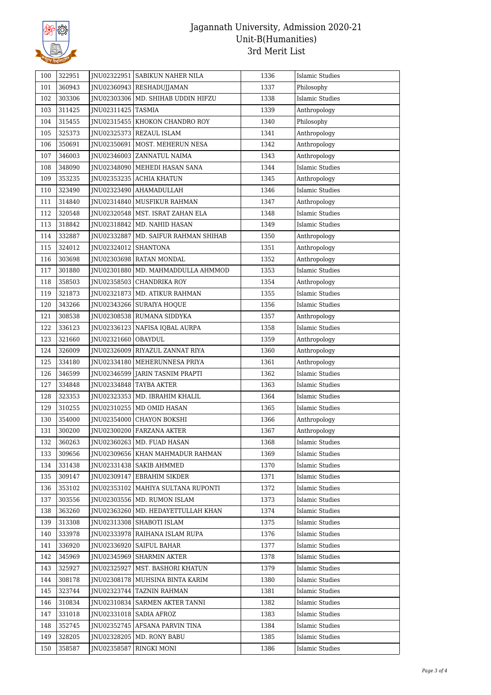

| 100 | 322951 |                      | JNU02322951   SABIKUN NAHER NILA     | 1336 | <b>Islamic Studies</b> |
|-----|--------|----------------------|--------------------------------------|------|------------------------|
| 101 | 360943 |                      | JNU02360943 RESHADUJJAMAN            | 1337 | Philosophy             |
| 102 | 303306 |                      | INU02303306   MD. SHIHAB UDDIN HIFZU | 1338 | <b>Islamic Studies</b> |
| 103 | 311425 | JNU02311425   TASMIA |                                      | 1339 | Anthropology           |
| 104 | 315455 | JNU02315455          | KHOKON CHANDRO ROY                   | 1340 | Philosophy             |
| 105 | 325373 |                      | JNU02325373 REZAUL ISLAM             | 1341 | Anthropology           |
| 106 | 350691 |                      | JNU02350691   MOST. MEHERUN NESA     | 1342 | Anthropology           |
| 107 | 346003 |                      | JNU02346003   ZANNATUL NAIMA         | 1343 | Anthropology           |
| 108 | 348090 |                      | INU02348090 MEHEDI HASAN SANA        | 1344 | Islamic Studies        |
| 109 | 353235 |                      | INU02353235 ACHIA KHATUN             | 1345 | Anthropology           |
| 110 | 323490 |                      | JNU02323490   AHAMADULLAH            | 1346 | <b>Islamic Studies</b> |
| 111 | 314840 | JNU02314840          | MUSFIKUR RAHMAN                      | 1347 | Anthropology           |
| 112 | 320548 |                      | JNU02320548   MST. ISRAT ZAHAN ELA   | 1348 | Islamic Studies        |
| 113 | 318842 |                      | JNU02318842   MD. NAHID HASAN        | 1349 | <b>Islamic Studies</b> |
| 114 | 332887 | JNU02332887          | MD. SAIFUR RAHMAN SHIHAB             | 1350 | Anthropology           |
| 115 | 324012 | JNU02324012          | SHANTONA                             | 1351 | Anthropology           |
| 116 | 303698 |                      | JNU02303698   RATAN MONDAL           | 1352 | Anthropology           |
| 117 | 301880 | JNU02301880          | MD. MAHMADDULLA AHMMOD               | 1353 | <b>Islamic Studies</b> |
| 118 | 358503 |                      | JNU02358503 CHANDRIKA ROY            | 1354 | Anthropology           |
| 119 | 321873 |                      | JNU02321873   MD. ATIKUR RAHMAN      | 1355 | Islamic Studies        |
| 120 | 343266 |                      | JNU02343266   SURAIYA HOQUE          | 1356 | <b>Islamic Studies</b> |
| 121 | 308538 |                      | JNU02308538 RUMANA SIDDYKA           | 1357 | Anthropology           |
| 122 | 336123 |                      | JNU02336123   NAFISA IQBAL AURPA     | 1358 | <b>Islamic Studies</b> |
| 123 | 321660 | JNU02321660          | OBAYDUL                              | 1359 | Anthropology           |
| 124 | 326009 |                      | JNU02326009   RIYAZUL ZANNAT RIYA    | 1360 | Anthropology           |
| 125 | 334180 |                      | JNU02334180   MEHERUNNESA PRIYA      | 1361 | Anthropology           |
| 126 | 346599 |                      | JNU02346599   JARIN TASNIM PRAPTI    | 1362 | Islamic Studies        |
| 127 | 334848 | JNU02334848          | TAYBA AKTER                          | 1363 | <b>Islamic Studies</b> |
| 128 | 323353 |                      | JNU02323353   MD. IBRAHIM KHALIL     | 1364 | <b>Islamic Studies</b> |
| 129 | 310255 | JNU02310255          | MD OMID HASAN                        | 1365 | <b>Islamic Studies</b> |
| 130 | 354000 | JNU02354000          | CHAYON BOKSHI                        | 1366 | Anthropology           |
| 131 | 300200 |                      | JNU02300200 FARZANA AKTER            | 1367 | Anthropology           |
| 132 | 360263 |                      | JNU02360263 MD. FUAD HASAN           | 1368 | Islamic Studies        |
| 133 | 309656 |                      | INU02309656 KHAN MAHMADUR RAHMAN     | 1369 | Islamic Studies        |
| 134 | 331438 |                      | INU02331438   SAKIB AHMMED           | 1370 | Islamic Studies        |
| 135 | 309147 |                      | JNU02309147 EBRAHIM SIKDER           | 1371 | Islamic Studies        |
| 136 | 353102 |                      | JNU02353102   MAHIYA SULTANA RUPONTI | 1372 | Islamic Studies        |
| 137 | 303556 |                      | JNU02303556   MD. RUMON ISLAM        | 1373 | <b>Islamic Studies</b> |
| 138 | 363260 |                      | INU02363260   MD. HEDAYETTULLAH KHAN | 1374 | Islamic Studies        |
| 139 | 313308 | JNU02313308          | SHABOTI ISLAM                        | 1375 | Islamic Studies        |
| 140 | 333978 |                      | JNU02333978   RAIHANA ISLAM RUPA     | 1376 | Islamic Studies        |
| 141 | 336920 |                      | JNU02336920   SAIFUL BAHAR           | 1377 | Islamic Studies        |
| 142 | 345969 |                      | JNU02345969   SHARMIN AKTER          | 1378 | Islamic Studies        |
| 143 | 325927 |                      | JNU02325927   MST. BASHORI KHATUN    | 1379 | Islamic Studies        |
| 144 | 308178 |                      | JNU02308178   MUHSINA BINTA KARIM    | 1380 | <b>Islamic Studies</b> |
| 145 | 323744 |                      | JNU02323744   TAZNIN RAHMAN          | 1381 | <b>Islamic Studies</b> |
| 146 | 310834 | JNU02310834          | SARMEN AKTER TANNI                   | 1382 | Islamic Studies        |
| 147 | 331018 |                      | JNU02331018   SADIA AFROZ            | 1383 | Islamic Studies        |
| 148 | 352745 |                      | JNU02352745 AFSANA PARVIN TINA       | 1384 | <b>Islamic Studies</b> |
| 149 | 328205 |                      | JNU02328205   MD. RONY BABU          | 1385 | <b>Islamic Studies</b> |
| 150 | 358587 | JNU02358587          | RINGKI MONI                          | 1386 | Islamic Studies        |
|     |        |                      |                                      |      |                        |